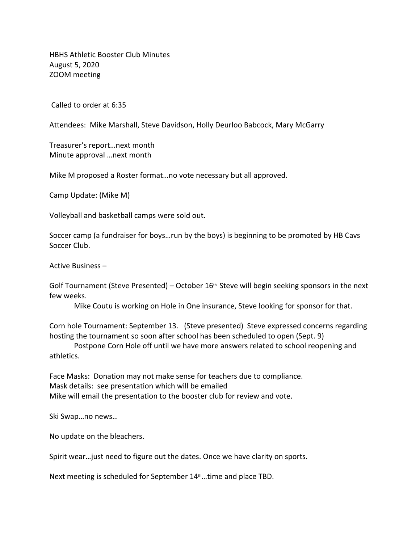HBHS Athletic Booster Club Minutes August 5, 2020 ZOOM meeting

Called to order at 6:35

Attendees: Mike Marshall, Steve Davidson, Holly Deurloo Babcock, Mary McGarry

Treasurer's report…next month Minute approval …next month

Mike M proposed a Roster format…no vote necessary but all approved.

Camp Update: (Mike M)

Volleyball and basketball camps were sold out.

Soccer camp (a fundraiser for boys…run by the boys) is beginning to be promoted by HB Cavs Soccer Club.

Active Business –

Golf Tournament (Steve Presented) – October 16<sup>th</sup> Steve will begin seeking sponsors in the next few weeks.

Mike Coutu is working on Hole in One insurance, Steve looking for sponsor for that.

Corn hole Tournament: September 13. (Steve presented) Steve expressed concerns regarding hosting the tournament so soon after school has been scheduled to open (Sept. 9)

Postpone Corn Hole off until we have more answers related to school reopening and athletics.

Face Masks: Donation may not make sense for teachers due to compliance. Mask details: see presentation which will be emailed Mike will email the presentation to the booster club for review and vote.

Ski Swap…no news…

No update on the bleachers.

Spirit wear…just need to figure out the dates. Once we have clarity on sports.

Next meeting is scheduled for September 14<sup>th</sup> ... time and place TBD.